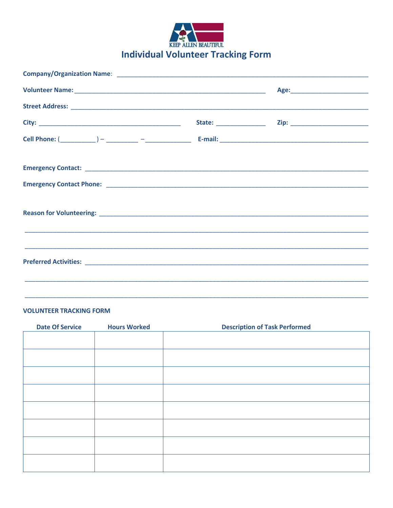

## **VOLUNTEER TRACKING FORM**

| <b>Date Of Service</b> | <b>Hours Worked</b> | <b>Description of Task Performed</b> |  |
|------------------------|---------------------|--------------------------------------|--|
|                        |                     |                                      |  |
|                        |                     |                                      |  |
|                        |                     |                                      |  |
|                        |                     |                                      |  |
|                        |                     |                                      |  |
|                        |                     |                                      |  |
|                        |                     |                                      |  |
|                        |                     |                                      |  |
|                        |                     |                                      |  |
|                        |                     |                                      |  |
|                        |                     |                                      |  |
|                        |                     |                                      |  |
|                        |                     |                                      |  |
|                        |                     |                                      |  |
|                        |                     |                                      |  |
|                        |                     |                                      |  |